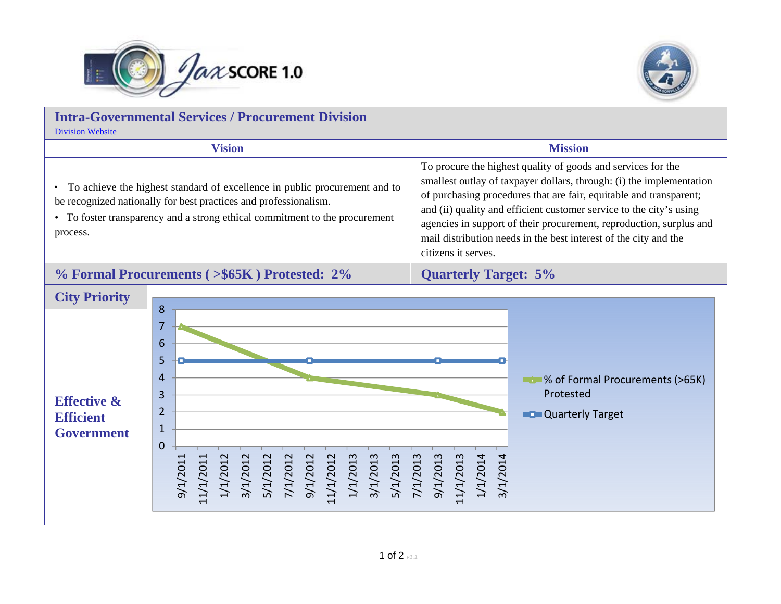



| <b>Intra-Governmental Services / Procurement Division</b><br><b>Division Website</b>    |                                                                                                                                                                                                                                                                                                                                                                                                                                                                                                                                                            |                                                                                                                                                                                                                                                                                                                                                              |  |
|-----------------------------------------------------------------------------------------|------------------------------------------------------------------------------------------------------------------------------------------------------------------------------------------------------------------------------------------------------------------------------------------------------------------------------------------------------------------------------------------------------------------------------------------------------------------------------------------------------------------------------------------------------------|--------------------------------------------------------------------------------------------------------------------------------------------------------------------------------------------------------------------------------------------------------------------------------------------------------------------------------------------------------------|--|
|                                                                                         | <b>Vision</b><br><b>Mission</b>                                                                                                                                                                                                                                                                                                                                                                                                                                                                                                                            |                                                                                                                                                                                                                                                                                                                                                              |  |
| $\bullet$<br>process.                                                                   | To procure the highest quality of goods and services for the<br>To achieve the highest standard of excellence in public procurement and to<br>be recognized nationally for best practices and professionalism.<br>• To foster transparency and a strong ethical commitment to the procurement<br>citizens it serves.                                                                                                                                                                                                                                       | smallest outlay of taxpayer dollars, through: (i) the implementation<br>of purchasing procedures that are fair, equitable and transparent;<br>and (ii) quality and efficient customer service to the city's using<br>agencies in support of their procurement, reproduction, surplus and<br>mail distribution needs in the best interest of the city and the |  |
|                                                                                         | % Formal Procurements (>\$65K) Protested: 2%<br><b>Quarterly Target: 5%</b>                                                                                                                                                                                                                                                                                                                                                                                                                                                                                |                                                                                                                                                                                                                                                                                                                                                              |  |
| <b>City Priority</b><br><b>Effective &amp;</b><br><b>Efficient</b><br><b>Government</b> | 8<br>7<br>6<br>5<br>4<br><b>Compared Set 12 Set 12 Set 12 Set 12 Set 12 Set 12 Set 12 Set 12 Set 12 Set 12 Set 12 Set 12 Set 12 Set 12 Set 12 Set 12 Set 12 Set 12 Set 12 Set 12 Set 12 Set 12 Set 12 Set 12 Set 12 Set 12 Set 12 Set 12 Set 12 Set 12 Se</b><br>3<br>Protested<br>$\overline{2}$<br><b>C</b> Quarterly Target<br>$\mathbf{1}$<br>$\mathbf 0$<br>/1/2013<br>5/1/2013<br>1/2013<br>1/2013<br>1/2012<br>1/2012<br>1/2012<br>/1/2012<br>1/2013<br>1/2013<br>1/2014<br>1/2014<br>1/2012<br>1/2012<br>1/2011<br>1/2011<br>$\approx$<br>ခဲ<br>ന് |                                                                                                                                                                                                                                                                                                                                                              |  |